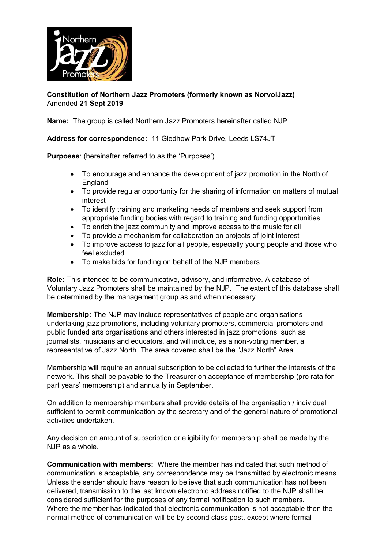

## **Constitution of Northern Jazz Promoters (formerly known as NorvolJazz)** Amended **21 Sept 2019**

**Name:** The group is called Northern Jazz Promoters hereinafter called NJP

## **Address for correspondence:** 11 Gledhow Park Drive, Leeds LS74JT

**Purposes**: (hereinafter referred to as the 'Purposes')

- To encourage and enhance the development of jazz promotion in the North of **England**
- To provide regular opportunity for the sharing of information on matters of mutual interest
- To identify training and marketing needs of members and seek support from appropriate funding bodies with regard to training and funding opportunities
- To enrich the jazz community and improve access to the music for all
- To provide a mechanism for collaboration on projects of joint interest
- To improve access to jazz for all people, especially young people and those who feel excluded.
- To make bids for funding on behalf of the NJP members

**Role:** This intended to be communicative, advisory, and informative. A database of Voluntary Jazz Promoters shall be maintained by the NJP. The extent of this database shall be determined by the management group as and when necessary.

**Membership:** The NJP may include representatives of people and organisations undertaking jazz promotions, including voluntary promoters, commercial promoters and public funded arts organisations and others interested in jazz promotions, such as journalists, musicians and educators, and will include, as a non-voting member, a representative of Jazz North. The area covered shall be the "Jazz North" Area

Membership will require an annual subscription to be collected to further the interests of the network. This shall be payable to the Treasurer on acceptance of membership (pro rata for part years' membership) and annually in September.

On addition to membership members shall provide details of the organisation / individual sufficient to permit communication by the secretary and of the general nature of promotional activities undertaken.

Any decision on amount of subscription or eligibility for membership shall be made by the  $N$ . IP as a whole.

**Communication with members:** Where the member has indicated that such method of communication is acceptable, any correspondence may be transmitted by electronic means. Unless the sender should have reason to believe that such communication has not been delivered, transmission to the last known electronic address notified to the NJP shall be considered sufficient for the purposes of any formal notification to such members. Where the member has indicated that electronic communication is not acceptable then the normal method of communication will be by second class post, except where formal